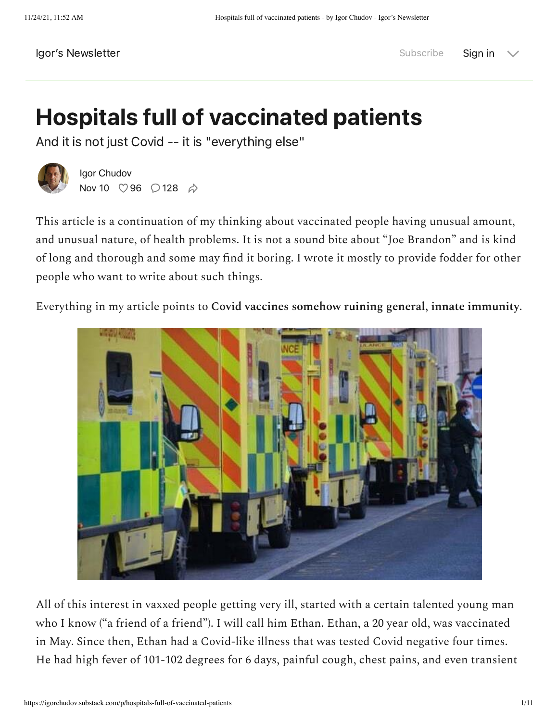### Hospitals full of vaccinated patients

And it is not just Covid -- it is "everything else"



[Igor Chudov](https://substack.com/profile/15579919-igor-chudov) Nov 10  $\heartsuit$  [96](javascript:void(0))  $\heartsuit$  [128](https://igorchudov.substack.com/p/hospitals-full-of-vaccinated-patients/comments)  $\phi$ 

This article is a continuation of my thinking about vaccinated people having unusual amount, and unusual nature, of health problems. It is not a sound bite about "Joe Brandon" and is kind of long and thorough and some may find it boring. I wrote it mostly to provide fodder for other people who want to write about such things.

Everything in my article points to **Covid vaccines somehow ruining general, innate immunity**.



All of this interest in vaxxed people getting very ill, started with a certain talented young man who I know ("a friend of a friend"). I will call him Ethan. Ethan, a 20 year old, was vaccinated in May. Since then, Ethan had a Covid-like illness that was tested Covid negative four times. He had high fever of 101-102 degrees for 6 days, painful cough, chest pains, and even transient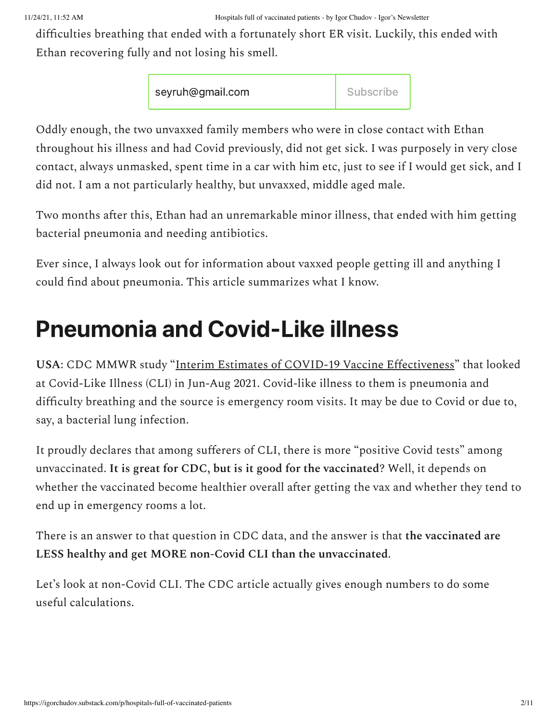#### 11/24/21, 11:52 AM Hospitals full of vaccinated patients - by Igor Chudov - Igor's Newsletter

difficulties breathing that ended with a fortunately short ER visit. Luckily, this ended with Ethan recovering fully and not losing his smell.

| seyruh@gmail.com | Subscribe |
|------------------|-----------|
|------------------|-----------|

Oddly enough, the two unvaxxed family members who were in close contact with Ethan throughout his illness and had Covid previously, did not get sick. I was purposely in very close contact, always unmasked, spent time in a car with him etc, just to see if I would get sick, and I did not. I am a not particularly healthy, but unvaxxed, middle aged male.

Two months after this, Ethan had an unremarkable minor illness, that ended with him getting bacterial pneumonia and needing antibiotics.

Ever since, I always look out for information about vaxxed people getting ill and anything I could find about pneumonia. This article summarizes what I know.

### Pneumonia and Covid-Like illness

**USA**: CDC MMWR study ["Interim Estimates of COVID-19 Vaccine Effectiveness"](https://www.cdc.gov/mmwr/volumes/70/wr/pdfs/mm7037e2-H.pdf) that looked at Covid-Like Illness (CLI) in Jun-Aug 2021. Covid-like illness to them is pneumonia and difficulty breathing and the source is emergency room visits. It may be due to Covid or due to, say, a bacterial lung infection.

It proudly declares that among sufferers of CLI, there is more "positive Covid tests" among unvaccinated. **It is great for CDC, but is it good for the vaccinated**? Well, it depends on whether the vaccinated become healthier overall after getting the vax and whether they tend to end up in emergency rooms a lot.

There is an answer to that question in CDC data, and the answer is that **the vaccinated are LESS healthy and get MORE non-Covid CLI than the unvaccinated**.

Let's look at non-Covid CLI. The CDC article actually gives enough numbers to do some useful calculations.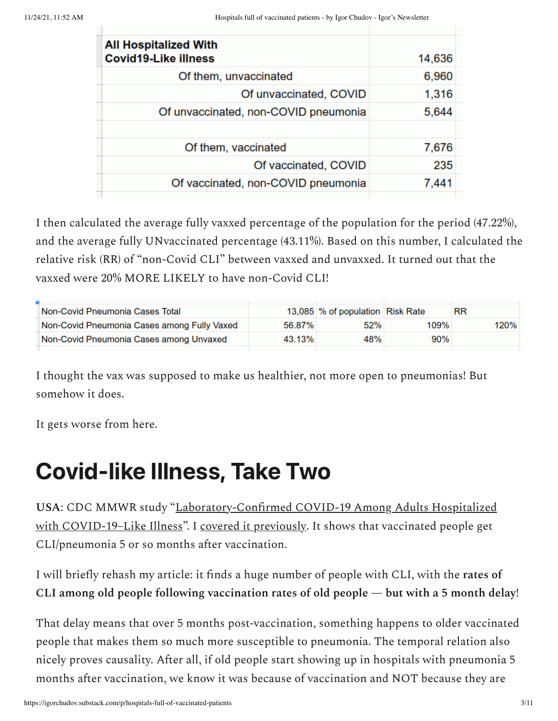| <b>All Hospitalized With</b><br><b>Covid19-Like illness</b> | 14,636 |
|-------------------------------------------------------------|--------|
| Of them, unvaccinated                                       | 6,960  |
| Of unvaccinated, COVID                                      | 1,316  |
| Of unvaccinated, non-COVID pneumonia                        | 5,644  |
|                                                             |        |
| Of them, vaccinated                                         | 7,676  |
| Of vaccinated, COVID                                        | 235    |
| Of vaccinated, non-COVID pneumonia                          | 7.441  |
|                                                             |        |

I then calculated the average fully vaxxed percentage of the population for the period (47.22%), and the average fully UNvaccinated percentage (43.11%). Based on this number, I calculated the relative risk (RR) of "non-Covid CLI" between vaxxed and unvaxxed. It turned out that the vaxxed were 20% MORE LIKELY to have non-Covid CLI!

| Non-Covid Pneumonia Cases Total             |        | 13,085 % of population Risk Rate |      | RR   |  |
|---------------------------------------------|--------|----------------------------------|------|------|--|
| Non-Covid Pneumonia Cases among Fully Vaxed | 56.87% | 52%                              | 109% | 120% |  |
| Non-Covid Pneumonia Cases among Unvaxed     | 43.13% | 48%                              | 90%  |      |  |
|                                             |        |                                  |      |      |  |

I thought the vax was supposed to make us healthier, not more open to pneumonias! But somehow it does.

It gets worse from here.

### Covid-like Illness, Take Two

**USA**[: CDC MMWR study "Laboratory-Confirmed COVID-19 Among Adults Hospitalized](https://www.cdc.gov/mmwr/volumes/70/wr/mm7044e1.htm) with COVID-19-Like Illness". I [covered it previously.](https://igorchudov.substack.com/p/shocking-antivax-numbers-from-the) It shows that vaccinated people get CLI/pneumonia 5 or so months after vaccination.

I will briefly rehash my article: it finds a huge number of people with CLI, with the **rates of CLI among old people following vaccination rates of old people — but with a 5 month delay**!

That delay means that over 5 months post-vaccination, something happens to older vaccinated people that makes them so much more susceptible to pneumonia. The temporal relation also nicely proves causality. After all, if old people start showing up in hospitals with pneumonia 5 months after vaccination, we know it was because of vaccination and NOT because they are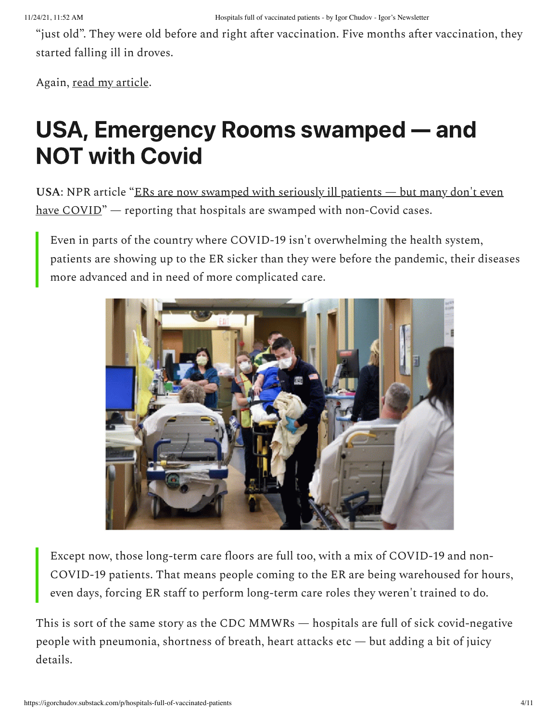"just old". They were old before and right after vaccination. Five months after vaccination, they started falling ill in droves.

Again, [read my article](https://igorchudov.substack.com/p/shocking-antivax-numbers-from-the).

### USA, Emergency Rooms swamped — and NOT with Covid

USA[: NPR article "ERs are now swamped with seriously ill patients — but many don't even](https://www.npr.org/sections/health-shots/2021/10/26/1046432435/ers-are-now-swamped-with-seriously-ill-patients-but-most-dont-even-have-covid) have COVID" — reporting that hospitals are swamped with non-Covid cases.

Even in parts of the country where COVID-19 isn't overwhelming the health system, patients are showing up to the ER sicker than they were before the pandemic, their diseases more advanced and in need of more complicated care.



Except now, those long-term care floors are full too, with a mix of COVID-19 and non-COVID-19 patients. That means people coming to the ER are being warehoused for hours, even days, forcing ER staff to perform long-term care roles they weren't trained to do.

This is sort of the same story as the CDC MMWRs — hospitals are full of sick covid-negative people with pneumonia, shortness of breath, heart attacks etc — but adding a bit of juicy details.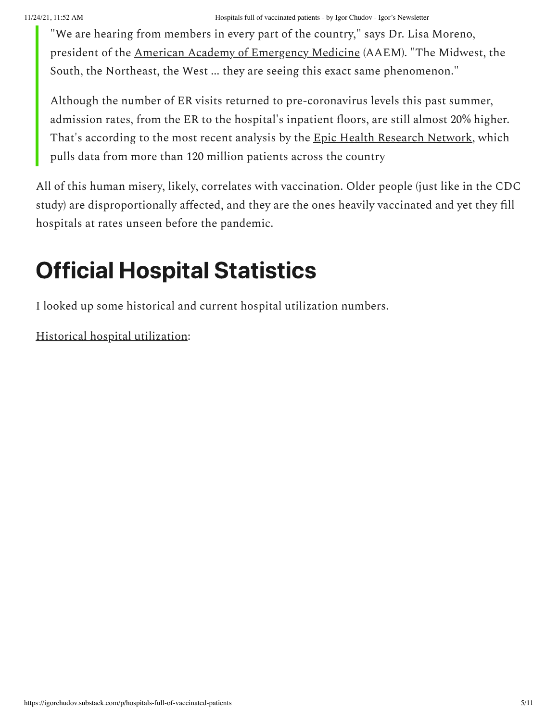"We are hearing from members in every part of the country," says Dr. Lisa Moreno, president of the [American Academy of Emergency](https://www.aaem.org/) Medicine (AAEM). "The Midwest, the South, the Northeast, the West ... they are seeing this exact same phenomenon."

Although the number of ER visits returned to pre-coronavirus levels this past summer, admission rates, from the ER to the hospital's inpatient floors, are still almost 20% higher. That's according to the most recent analysis by the [Epic Health Research Network](https://ehrn.org/), which pulls data from more than 120 million patients across the country

All of this human misery, likely, correlates with vaccination. Older people (just like in the CDC study) are disproportionally affected, and they are the ones heavily vaccinated and yet they fill hospitals at rates unseen before the pandemic.

# Official Hospital Statistics

I looked up some historical and current hospital utilization numbers.

[Historical hospital utilization](https://www.statista.com/statistics/185904/hospital-occupancy-rate-in-the-us-since-2001/):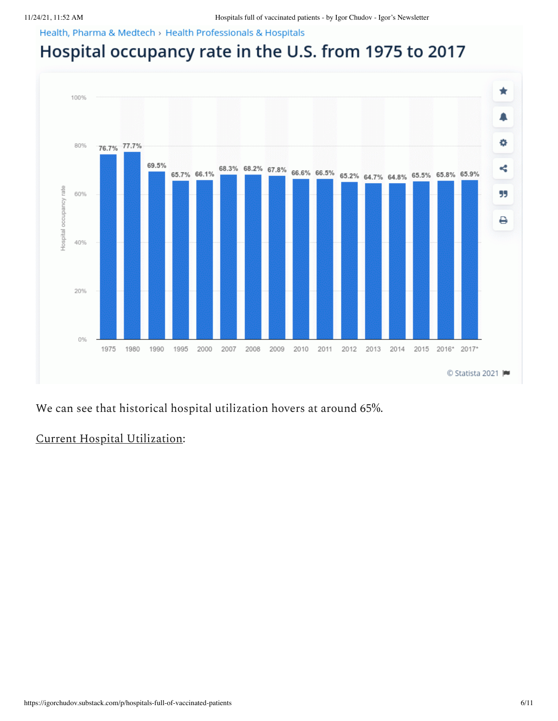Health, Pharma & Medtech > Health Professionals & Hospitals

### Hospital occupancy rate in the U.S. from 1975 to 2017



We can see that historical hospital utilization hovers at around 65%.

### [Current Hospital Utilization:](https://app.powerbigov.us/view?r=eyJrIjoiNmU2ZTJkNmYtMDljZi00OTdkLTljZGItMDA5M2JmZGEwODBiIiwidCI6IjcwMzZjZGE5LTA2MmQtNDE1MS04MTQ0LTk3ZGRjNTZlNzAyNyJ9)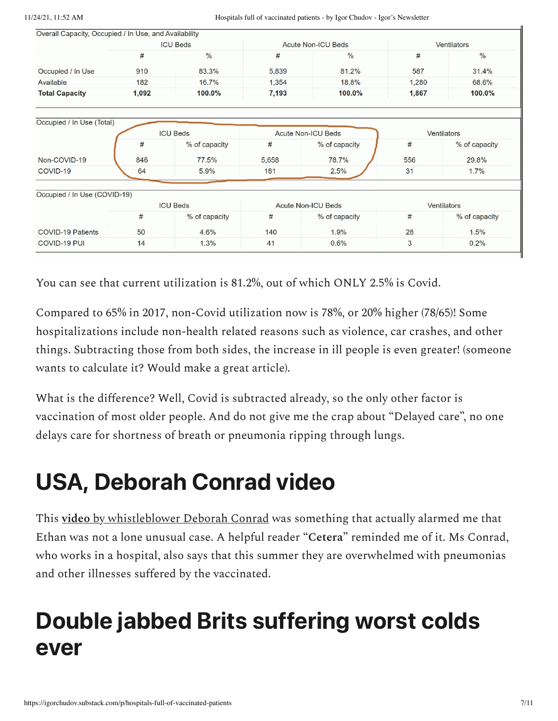| Overall Capacity, Occupied / In Use, and Availability |                 |                 |                           |                           |                    |               |  |
|-------------------------------------------------------|-----------------|-----------------|---------------------------|---------------------------|--------------------|---------------|--|
|                                                       | <b>ICU Beds</b> |                 |                           | <b>Acute Non-ICU Beds</b> |                    | Ventilators   |  |
|                                                       | #               | $\frac{0}{0}$   | #                         | $\frac{0}{0}$             | #                  | $\frac{0}{0}$ |  |
| Occupied / In Use                                     | 910             | 83.3%           | 5,839                     | 81.2%                     | 587                | 31.4%         |  |
| Available                                             | 182             | 16.7%           | 1,354                     | 18.8%                     | 1,280              | 68.6%         |  |
| <b>Total Capacity</b>                                 | 1,092           | 100.0%          | 7,193                     | 100.0%                    | 1,867              | 100.0%        |  |
| Occupied / In Use (Total)                             |                 |                 |                           |                           |                    |               |  |
|                                                       |                 | <b>ICU Beds</b> | <b>Acute Non-ICU Beds</b> |                           |                    | Ventilators   |  |
|                                                       | #               | % of capacity   | #                         | % of capacity             | #                  | % of capacity |  |
| Non-COVID-19                                          | 846             | 77.5%           | 5,658                     | 78.7%                     | 556                | 29.8%         |  |
| COVID-19                                              | 64              | 5.9%            | 181                       | 2.5%                      | 31                 | 1.7%          |  |
| Occupied / In Use (COVID-19)                          |                 |                 |                           |                           |                    |               |  |
|                                                       |                 | <b>ICU Beds</b> | <b>Acute Non-ICU Beds</b> |                           | <b>Ventilators</b> |               |  |
|                                                       | $\#$            | % of capacity   | #                         | % of capacity             | #                  | % of capacity |  |
| <b>COVID-19 Patients</b>                              | 50              | 4.6%            | 140                       | 1.9%                      | 28                 | 1.5%          |  |
| COVID-19 PUI                                          | 14              | 1.3%            | 41                        | 0.6%                      | 3                  | 0.2%          |  |

You can see that current utilization is 81.2%, out of which ONLY 2.5% is Covid.

Compared to 65% in 2017, non-Covid utilization now is 78%, or 20% higher (78/65)! Some hospitalizations include non-health related reasons such as violence, car crashes, and other things. Subtracting those from both sides, the increase in ill people is even greater! (someone wants to calculate it? Would make a great article).

What is the difference? Well, Covid is subtracted already, so the only other factor is vaccination of most older people. And do not give me the crap about "Delayed care", no one delays care for shortness of breath or pneumonia ripping through lungs.

### USA, Deborah Conrad video

This **[video](https://thehighwire.com/videos/these-patients-deserve-to-be-heard-vaers-whistleblower/)** [by whistleblower Deborah Conrad](https://thehighwire.com/videos/these-patients-deserve-to-be-heard-vaers-whistleblower/) was something that actually alarmed me that Ethan was not a lone unusual case. A helpful reader "**Cetera**" reminded me of it. Ms Conrad, who works in a hospital, also says that this summer they are overwhelmed with pneumonias and other illnesses suffered by the vaccinated.

### Double jabbed Brits suffering worst colds ever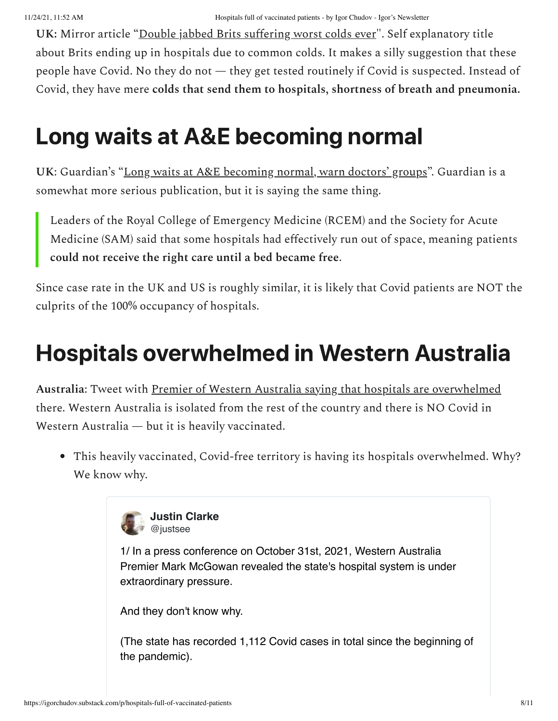**UK:** Mirror article ["Double jabbed Brits suffering worst colds ever](https://www.mirror.co.uk/news/uk-news/double-jabbed-brits-suffering-worst-25179317)". Self explanatory title about Brits ending up in hospitals due to common colds. It makes a silly suggestion that these people have Covid. No they do not — they get tested routinely if Covid is suspected. Instead of Covid, they have mere **colds that send them to hospitals, shortness of breath and pneumonia.**

### Long waits at A&E becoming normal

**UK**: Guardian's ["Long waits at A&E becoming normal, warn doctors' groups](https://www.theguardian.com/society/2021/nov/07/long-waits-at-ae-becoming-normal-warn-doctors-groups)". Guardian is a somewhat more serious publication, but it is saying the same thing.

Leaders of the Royal College of Emergency Medicine (RCEM) and the Society for Acute Medicine (SAM) said that some hospitals had effectively run out of space, meaning patients **could not receive the right care until a bed became free**.

Since case rate in the UK and US is roughly similar, it is likely that Covid patients are NOT the culprits of the 100% occupancy of hospitals.

### Hospitals overwhelmed in Western Australia

**Australia**: Tweet with [Premier of Western Australia saying that hospitals are overwhelmed](https://twitter.com/justsee/status/1456215828345475081) there. Western Australia is isolated from the rest of the country and there is NO Covid in Western Australia — but it is heavily vaccinated.

This heavily vaccinated, Covid-free territory is having its hospitals overwhelmed. Why? We know why.



**Justin Clarke** @justsee

1/ In a press conference on October 31st, 2021, Western Australia Premier Mark McGowan revealed the state's hospital system is under extraordinary pressure.

And they don't know why.

[\(The state has recorded 1,112 Covid cases in total since the beginning of](https://twitter.com/justsee/status/1456215828345475081?s=20) the pandemic).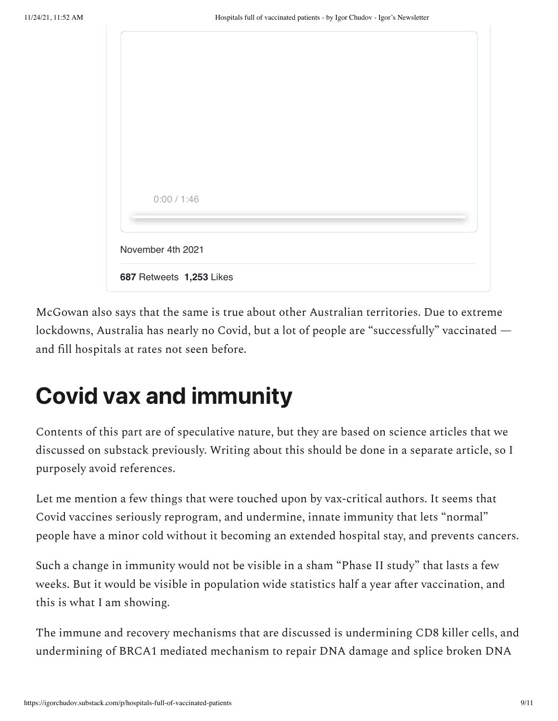| 0:00 / 1:46              |  |  |  |
|--------------------------|--|--|--|
|                          |  |  |  |
|                          |  |  |  |
|                          |  |  |  |
|                          |  |  |  |
| November 4th 2021        |  |  |  |
|                          |  |  |  |
|                          |  |  |  |
| 687 Retweets 1,253 Likes |  |  |  |
|                          |  |  |  |

McGowan also says that the same is true about other Australian territories. Due to extreme lockdowns, Australia has nearly no Covid, but a lot of people are "successfully" vaccinated and fill hospitals at rates not seen before.

### Covid vax and immunity

Contents of this part are of speculative nature, but they are based on science articles that we discussed on substack previously. Writing about this should be done in a separate article, so I purposely avoid references.

Let me mention a few things that were touched upon by vax-critical authors. It seems that Covid vaccines seriously reprogram, and undermine, innate immunity that lets "normal" people have a minor cold without it becoming an extended hospital stay, and prevents cancers.

Such a change in immunity would not be visible in a sham "Phase II study" that lasts a few weeks. But it would be visible in population wide statistics half a year after vaccination, and this is what I am showing.

The immune and recovery mechanisms that are discussed is undermining CD8 killer cells, and undermining of BRCA1 mediated mechanism to repair DNA damage and splice broken DNA